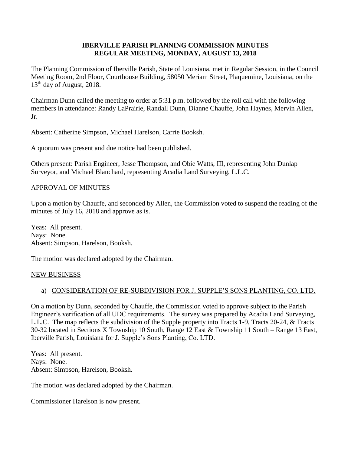### **IBERVILLE PARISH PLANNING COMMISSION MINUTES REGULAR MEETING, MONDAY, AUGUST 13, 2018**

The Planning Commission of Iberville Parish, State of Louisiana, met in Regular Session, in the Council Meeting Room, 2nd Floor, Courthouse Building, 58050 Meriam Street, Plaquemine, Louisiana, on the 13<sup>th</sup> day of August, 2018.

Chairman Dunn called the meeting to order at 5:31 p.m. followed by the roll call with the following members in attendance: Randy LaPrairie, Randall Dunn, Dianne Chauffe, John Haynes, Mervin Allen, Jr.

Absent: Catherine Simpson, Michael Harelson, Carrie Booksh.

A quorum was present and due notice had been published.

Others present: Parish Engineer, Jesse Thompson, and Obie Watts, III, representing John Dunlap Surveyor, and Michael Blanchard, representing Acadia Land Surveying, L.L.C.

### APPROVAL OF MINUTES

Upon a motion by Chauffe, and seconded by Allen, the Commission voted to suspend the reading of the minutes of July 16, 2018 and approve as is.

Yeas: All present. Nays: None. Absent: Simpson, Harelson, Booksh.

The motion was declared adopted by the Chairman.

#### NEW BUSINESS

### a) CONSIDERATION OF RE-SUBDIVISION FOR J. SUPPLE'S SONS PLANTING, CO. LTD.

On a motion by Dunn, seconded by Chauffe, the Commission voted to approve subject to the Parish Engineer's verification of all UDC requirements. The survey was prepared by Acadia Land Surveying, L.L.C. The map reflects the subdivision of the Supple property into Tracts 1-9, Tracts 20-24, & Tracts 30-32 located in Sections X Township 10 South, Range 12 East & Township 11 South – Range 13 East, Iberville Parish, Louisiana for J. Supple's Sons Planting, Co. LTD.

Yeas: All present. Nays: None. Absent: Simpson, Harelson, Booksh.

The motion was declared adopted by the Chairman.

Commissioner Harelson is now present.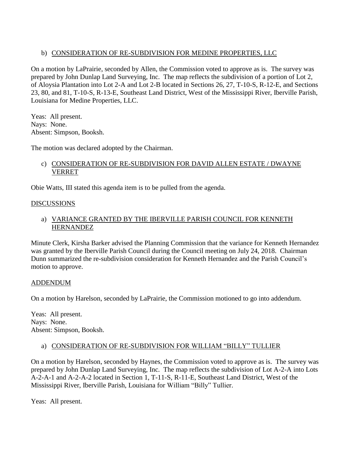# b) CONSIDERATION OF RE-SUBDIVISION FOR MEDINE PROPERTIES, LLC

On a motion by LaPrairie, seconded by Allen, the Commission voted to approve as is. The survey was prepared by John Dunlap Land Surveying, Inc. The map reflects the subdivision of a portion of Lot 2, of Aloysia Plantation into Lot 2-A and Lot 2-B located in Sections 26, 27, T-10-S, R-12-E, and Sections 23, 80, and 81, T-10-S, R-13-E, Southeast Land District, West of the Mississippi River, Iberville Parish, Louisiana for Medine Properties, LLC.

Yeas: All present. Nays: None. Absent: Simpson, Booksh.

The motion was declared adopted by the Chairman.

# c) CONSIDERATION OF RE-SUBDIVISION FOR DAVID ALLEN ESTATE / DWAYNE VERRET

Obie Watts, III stated this agenda item is to be pulled from the agenda.

### DISCUSSIONS

# a) VARIANCE GRANTED BY THE IBERVILLE PARISH COUNCIL FOR KENNETH HERNANDEZ

Minute Clerk, Kirsha Barker advised the Planning Commission that the variance for Kenneth Hernandez was granted by the Iberville Parish Council during the Council meeting on July 24, 2018. Chairman Dunn summarized the re-subdivision consideration for Kenneth Hernandez and the Parish Council's motion to approve.

### ADDENDUM

On a motion by Harelson, seconded by LaPrairie, the Commission motioned to go into addendum.

Yeas: All present. Nays: None. Absent: Simpson, Booksh.

# a) CONSIDERATION OF RE-SUBDIVISION FOR WILLIAM "BILLY" TULLIER

On a motion by Harelson, seconded by Haynes, the Commission voted to approve as is. The survey was prepared by John Dunlap Land Surveying, Inc. The map reflects the subdivision of Lot A-2-A into Lots A-2-A-1 and A-2-A-2 located in Section 1, T-11-S, R-11-E, Southeast Land District, West of the Mississippi River, Iberville Parish, Louisiana for William "Billy" Tullier.

Yeas: All present.